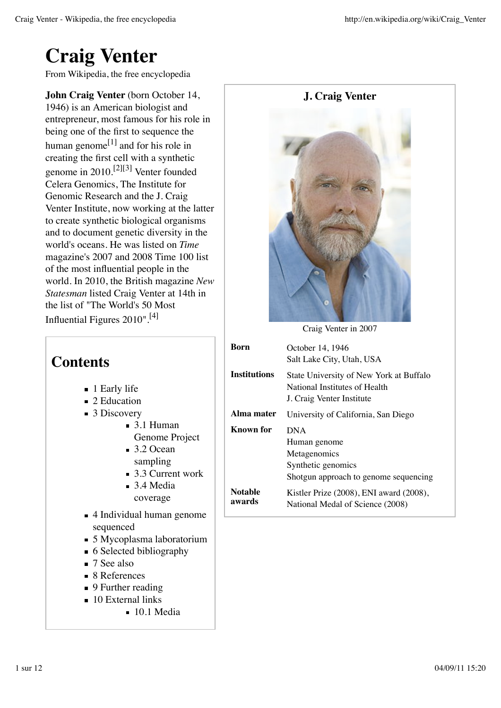# **Craig Venter**

From Wikipedia, the free encyclopedia

**John Craig Venter** (born October 14, 1946) is an American biologist and entrepreneur, most famous for his role in being one of the first to sequence the human genome $^{[1]}$  and for his role in creating the first cell with a synthetic genome in 2010.<sup>[2][3]</sup> Venter founded Celera Genomics, The Institute for Genomic Research and the J. Craig Venter Institute, now working at the latter to create synthetic biological organisms and to document genetic diversity in the world's oceans. He was listed on *Time* magazine's 2007 and 2008 Time 100 list of the most influential people in the world. In 2010, the British magazine *New Statesman* listed Craig Venter at 14th in the list of "The World's 50 Most Influential Figures 2010".[4]

## **Contents**

- 1 Early life
- 2 Education
- $\blacksquare$  3 Discovery
	- 3.1 Human Genome Project
	- $\blacksquare$  3.2 Ocean sampling
	- $\blacksquare$  3.3 Current work
	- 3.4 Media coverage
- 4 Individual human genome sequenced
- 5 Mycoplasma laboratorium
- 6 Selected bibliography
- 7 See also
- 8 References
- 9 Further reading
- 10 External links
	- $10.1$  Media



Craig Venter in 2007

| Rorn              | October 14, 1946<br>Salt Lake City, Utah, USA                                                             |
|-------------------|-----------------------------------------------------------------------------------------------------------|
| Institutions      | State University of New York at Buffalo<br>National Institutes of Health<br>J. Craig Venter Institute     |
| Alma mater        | University of California, San Diego                                                                       |
| Known for         | <b>DNA</b><br>Human genome<br>Metagenomics<br>Synthetic genomics<br>Shotgun approach to genome sequencing |
| Notable<br>awards | Kistler Prize (2008), ENI award (2008),<br>National Medal of Science (2008)                               |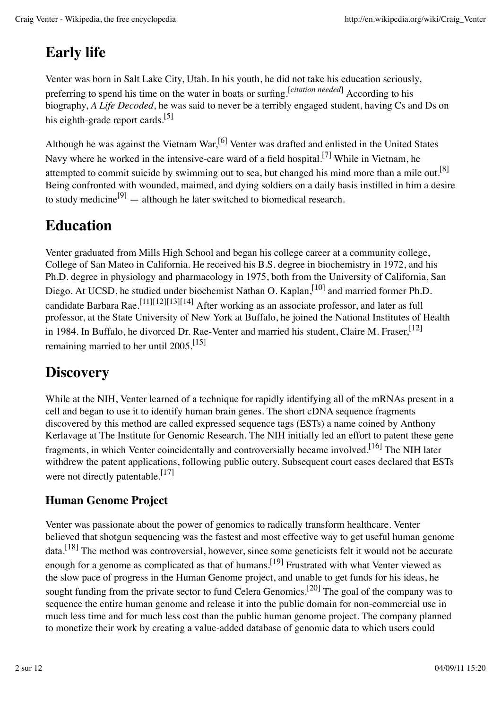# **Early life**

Venter was born in Salt Lake City, Utah. In his youth, he did not take his education seriously, preferring to spend his time on the water in boats or surfing.<sup>[*citation needed*] According to his</sup> biography, *A Life Decoded*, he was said to never be a terribly engaged student, having Cs and Ds on his eighth-grade report cards.<sup>[5]</sup>

Although he was against the Vietnam War,<sup>[6]</sup> Venter was drafted and enlisted in the United States Navy where he worked in the intensive-care ward of a field hospital.<sup>[7]</sup> While in Vietnam, he attempted to commit suicide by swimming out to sea, but changed his mind more than a mile out.<sup>[8]</sup> Being confronted with wounded, maimed, and dying soldiers on a daily basis instilled in him a desire to study medicine<sup>[9]</sup> — although he later switched to biomedical research.

## **Education**

Venter graduated from Mills High School and began his college career at a community college, College of San Mateo in California. He received his B.S. degree in biochemistry in 1972, and his Ph.D. degree in physiology and pharmacology in 1975, both from the University of California, San Diego. At UCSD, he studied under biochemist Nathan O. Kaplan,  $^{[10]}$  and married former Ph.D. candidate Barbara Rae.<sup>[11][12][13][14]</sup> After working as an associate professor, and later as full professor, at the State University of New York at Buffalo, he joined the National Institutes of Health in 1984. In Buffalo, he divorced Dr. Rae-Venter and married his student, Claire M. Fraser, <sup>[12]</sup> remaining married to her until  $2005$ .<sup>[15]</sup>

# **Discovery**

While at the NIH, Venter learned of a technique for rapidly identifying all of the mRNAs present in a cell and began to use it to identify human brain genes. The short cDNA sequence fragments discovered by this method are called expressed sequence tags (ESTs) a name coined by Anthony Kerlavage at The Institute for Genomic Research. The NIH initially led an effort to patent these gene fragments, in which Venter coincidentally and controversially became involved.<sup>[16]</sup> The NIH later withdrew the patent applications, following public outcry. Subsequent court cases declared that ESTs were not directly patentable.<sup>[17]</sup>

#### **Human Genome Project**

Venter was passionate about the power of genomics to radically transform healthcare. Venter believed that shotgun sequencing was the fastest and most effective way to get useful human genome data.<sup>[18]</sup> The method was controversial, however, since some geneticists felt it would not be accurate enough for a genome as complicated as that of humans.<sup>[19]</sup> Frustrated with what Venter viewed as the slow pace of progress in the Human Genome project, and unable to get funds for his ideas, he sought funding from the private sector to fund Celera Genomics.<sup>[20]</sup> The goal of the company was to sequence the entire human genome and release it into the public domain for non-commercial use in much less time and for much less cost than the public human genome project. The company planned to monetize their work by creating a value-added database of genomic data to which users could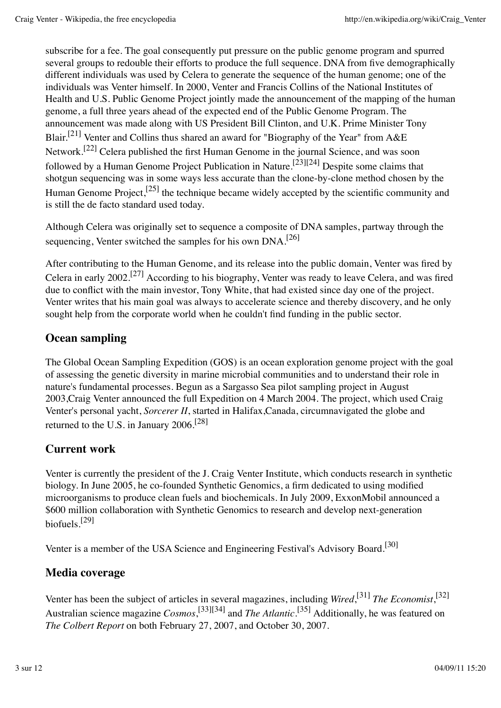subscribe for a fee. The goal consequently put pressure on the public genome program and spurred several groups to redouble their efforts to produce the full sequence. DNA from five demographically different individuals was used by Celera to generate the sequence of the human genome; one of the individuals was Venter himself. In 2000, Venter and Francis Collins of the National Institutes of Health and U.S. Public Genome Project jointly made the announcement of the mapping of the human genome, a full three years ahead of the expected end of the Public Genome Program. The announcement was made along with US President Bill Clinton, and U.K. Prime Minister Tony Blair.<sup>[21]</sup> Venter and Collins thus shared an award for "Biography of the Year" from A&E Network.<sup>[22]</sup> Celera published the first Human Genome in the journal Science, and was soon followed by a Human Genome Project Publication in Nature.<sup>[23][24]</sup> Despite some claims that shotgun sequencing was in some ways less accurate than the clone-by-clone method chosen by the Human Genome Project,<sup>[25]</sup> the technique became widely accepted by the scientific community and is still the de facto standard used today.

Although Celera was originally set to sequence a composite of DNA samples, partway through the sequencing, Venter switched the samples for his own  $DNA$ <sup>[26]</sup>

After contributing to the Human Genome, and its release into the public domain, Venter was fired by Celera in early 2002.<sup>[27]</sup> According to his biography, Venter was ready to leave Celera, and was fired due to conflict with the main investor, Tony White, that had existed since day one of the project. Venter writes that his main goal was always to accelerate science and thereby discovery, and he only sought help from the corporate world when he couldn't find funding in the public sector.

#### **Ocean sampling**

The Global Ocean Sampling Expedition (GOS) is an ocean exploration genome project with the goal of assessing the genetic diversity in marine microbial communities and to understand their role in nature's fundamental processes. Begun as a Sargasso Sea pilot sampling project in August 2003,Craig Venter announced the full Expedition on 4 March 2004. The project, which used Craig Venter's personal yacht, *Sorcerer II*, started in Halifax,Canada, circumnavigated the globe and returned to the U.S. in January 2006.[28]

#### **Current work**

Venter is currently the president of the J. Craig Venter Institute, which conducts research in synthetic biology. In June 2005, he co-founded Synthetic Genomics, a firm dedicated to using modified microorganisms to produce clean fuels and biochemicals. In July 2009, ExxonMobil announced a \$600 million collaboration with Synthetic Genomics to research and develop next-generation biofuels. [29]

Venter is a member of the USA Science and Engineering Festival's Advisory Board.[30]

#### **Media coverage**

Venter has been the subject of articles in several magazines, including *Wired*,<sup>[31]</sup> *The Economist*,<sup>[32]</sup> Australian science magazine *Cosmos*,<sup>[33][34]</sup> and *The Atlantic*.<sup>[35]</sup> Additionally, he was featured on *The Colbert Report* on both February 27, 2007, and October 30, 2007.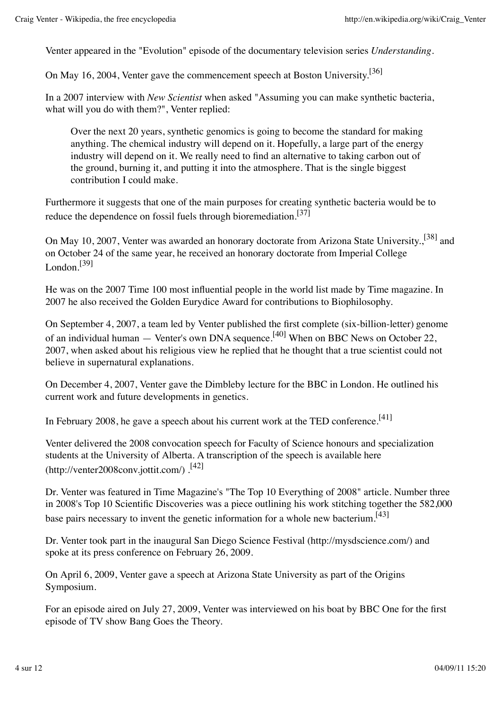Venter appeared in the "Evolution" episode of the documentary television series *Understanding*.

On May 16, 2004, Venter gave the commencement speech at Boston University.<sup>[36]</sup>

In a 2007 interview with *New Scientist* when asked "Assuming you can make synthetic bacteria, what will you do with them?", Venter replied:

Over the next 20 years, synthetic genomics is going to become the standard for making anything. The chemical industry will depend on it. Hopefully, a large part of the energy industry will depend on it. We really need to find an alternative to taking carbon out of the ground, burning it, and putting it into the atmosphere. That is the single biggest contribution I could make.

Furthermore it suggests that one of the main purposes for creating synthetic bacteria would be to reduce the dependence on fossil fuels through bioremediation.<sup>[37]</sup>

On May 10, 2007, Venter was awarded an honorary doctorate from Arizona State University.<sup>[38]</sup> and on October 24 of the same year, he received an honorary doctorate from Imperial College London. [39]

He was on the 2007 Time 100 most influential people in the world list made by Time magazine. In 2007 he also received the Golden Eurydice Award for contributions to Biophilosophy.

On September 4, 2007, a team led by Venter published the first complete (six-billion-letter) genome of an individual human — Venter's own DNA sequence.<sup>[40]</sup> When on BBC News on October 22, 2007, when asked about his religious view he replied that he thought that a true scientist could not believe in supernatural explanations.

On December 4, 2007, Venter gave the Dimbleby lecture for the BBC in London. He outlined his current work and future developments in genetics.

In February 2008, he gave a speech about his current work at the TED conference.<sup>[41]</sup>

Venter delivered the 2008 convocation speech for Faculty of Science honours and specialization students at the University of Alberta. A transcription of the speech is available here (http://venter2008conv.jottit.com/).<sup>[42]</sup>

Dr. Venter was featured in Time Magazine's "The Top 10 Everything of 2008" article. Number three in 2008's Top 10 Scientific Discoveries was a piece outlining his work stitching together the 582,000 base pairs necessary to invent the genetic information for a whole new bacterium.<sup>[43]</sup>

Dr. Venter took part in the inaugural San Diego Science Festival (http://mysdscience.com/) and spoke at its press conference on February 26, 2009.

On April 6, 2009, Venter gave a speech at Arizona State University as part of the Origins Symposium.

For an episode aired on July 27, 2009, Venter was interviewed on his boat by BBC One for the first episode of TV show Bang Goes the Theory.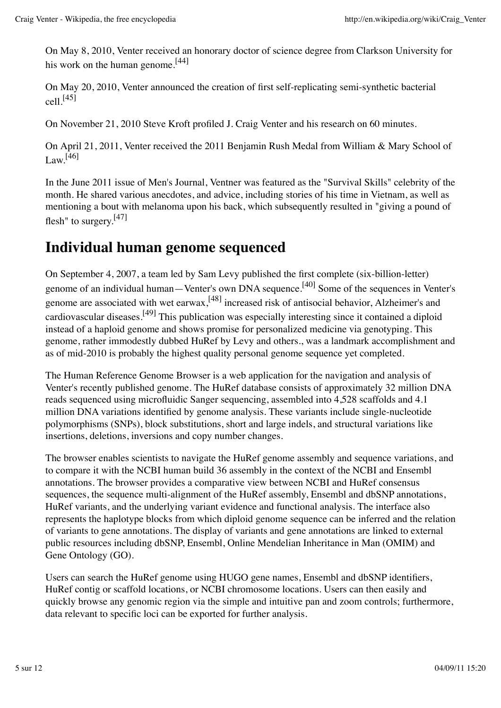On May 8, 2010, Venter received an honorary doctor of science degree from Clarkson University for his work on the human genome.<sup>[44]</sup>

On May 20, 2010, Venter announced the creation of first self-replicating semi-synthetic bacterial  $cell^{[45]}$ 

On November 21, 2010 Steve Kroft profiled J. Craig Venter and his research on 60 minutes.

On April 21, 2011, Venter received the 2011 Benjamin Rush Medal from William & Mary School of Law. [46]

In the June 2011 issue of Men's Journal, Ventner was featured as the "Survival Skills" celebrity of the month. He shared various anecdotes, and advice, including stories of his time in Vietnam, as well as mentioning a bout with melanoma upon his back, which subsequently resulted in "giving a pound of flesh" to surgery.<sup>[47]</sup>

### **Individual human genome sequenced**

On September 4, 2007, a team led by Sam Levy published the first complete (six-billion-letter) genome of an individual human—Venter's own DNA sequence.<sup>[40]</sup> Some of the sequences in Venter's genome are associated with wet earwax, <sup>[48]</sup> increased risk of antisocial behavior, Alzheimer's and cardiovascular diseases.<sup>[49]</sup> This publication was especially interesting since it contained a diploid instead of a haploid genome and shows promise for personalized medicine via genotyping. This genome, rather immodestly dubbed HuRef by Levy and others., was a landmark accomplishment and as of mid-2010 is probably the highest quality personal genome sequence yet completed.

The Human Reference Genome Browser is a web application for the navigation and analysis of Venter's recently published genome. The HuRef database consists of approximately 32 million DNA reads sequenced using microfluidic Sanger sequencing, assembled into 4,528 scaffolds and 4.1 million DNA variations identified by genome analysis. These variants include single-nucleotide polymorphisms (SNPs), block substitutions, short and large indels, and structural variations like insertions, deletions, inversions and copy number changes.

The browser enables scientists to navigate the HuRef genome assembly and sequence variations, and to compare it with the NCBI human build 36 assembly in the context of the NCBI and Ensembl annotations. The browser provides a comparative view between NCBI and HuRef consensus sequences, the sequence multi-alignment of the HuRef assembly, Ensembl and dbSNP annotations, HuRef variants, and the underlying variant evidence and functional analysis. The interface also represents the haplotype blocks from which diploid genome sequence can be inferred and the relation of variants to gene annotations. The display of variants and gene annotations are linked to external public resources including dbSNP, Ensembl, Online Mendelian Inheritance in Man (OMIM) and Gene Ontology (GO).

Users can search the HuRef genome using HUGO gene names, Ensembl and dbSNP identifiers, HuRef contig or scaffold locations, or NCBI chromosome locations. Users can then easily and quickly browse any genomic region via the simple and intuitive pan and zoom controls; furthermore, data relevant to specific loci can be exported for further analysis.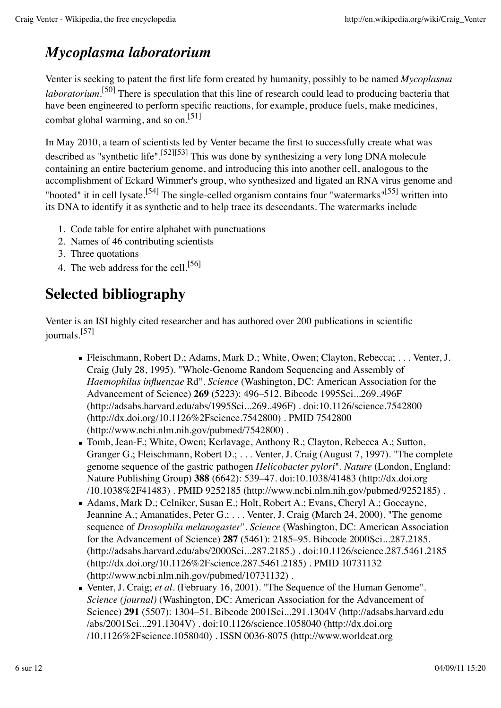## *Mycoplasma laboratorium*

Venter is seeking to patent the first life form created by humanity, possibly to be named *Mycoplasma laboratorium*.<sup>[50]</sup> There is speculation that this line of research could lead to producing bacteria that have been engineered to perform specific reactions, for example, produce fuels, make medicines, combat global warming, and so on.[51]

In May 2010, a team of scientists led by Venter became the first to successfully create what was described as "synthetic life".<sup>[52][53]</sup> This was done by synthesizing a very long DNA molecule containing an entire bacterium genome, and introducing this into another cell, analogous to the accomplishment of Eckard Wimmer's group, who synthesized and ligated an RNA virus genome and "booted" it in cell lysate.<sup>[54]</sup> The single-celled organism contains four "watermarks"<sup>[55]</sup> written into its DNA to identify it as synthetic and to help trace its descendants. The watermarks include

- 1. Code table for entire alphabet with punctuations
- 2. Names of 46 contributing scientists
- 3. Three quotations
- 4. The web address for the cell.<sup>[56]</sup>

# **Selected bibliography**

Venter is an ISI highly cited researcher and has authored over 200 publications in scientific journals. [57]

- Fleischmann, Robert D.; Adams, Mark D.; White, Owen; Clayton, Rebecca; . . . Venter, J. Craig (July 28, 1995). "Whole-Genome Random Sequencing and Assembly of *Haemophilus influenzae* Rd". *Science* (Washington, DC: American Association for the Advancement of Science) **269** (5223): 496–512. Bibcode 1995Sci...269..496F (http://adsabs.harvard.edu/abs/1995Sci...269..496F) . doi:10.1126/science.7542800 (http://dx.doi.org/10.1126%2Fscience.7542800) . PMID 7542800 (http://www.ncbi.nlm.nih.gov/pubmed/7542800) .
- Tomb, Jean-F.; White, Owen; Kerlavage, Anthony R.; Clayton, Rebecca A.; Sutton, Granger G.; Fleischmann, Robert D.; . . . Venter, J. Craig (August 7, 1997). "The complete genome sequence of the gastric pathogen *Helicobacter pylori*". *Nature* (London, England: Nature Publishing Group) **388** (6642): 539–47. doi:10.1038/41483 (http://dx.doi.org /10.1038%2F41483) . PMID 9252185 (http://www.ncbi.nlm.nih.gov/pubmed/9252185) .
- Adams, Mark D.; Celniker, Susan E.; Holt, Robert A.; Evans, Cheryl A.; Goccayne, Jeannine A.; Amanatides, Peter G.; . . . Venter, J. Craig (March 24, 2000). "The genome sequence of *Drosophila melanogaster*". *Science* (Washington, DC: American Association for the Advancement of Science) **287** (5461): 2185–95. Bibcode 2000Sci...287.2185. (http://adsabs.harvard.edu/abs/2000Sci...287.2185.) . doi:10.1126/science.287.5461.2185 (http://dx.doi.org/10.1126%2Fscience.287.5461.2185) . PMID 10731132 (http://www.ncbi.nlm.nih.gov/pubmed/10731132) .
- Venter, J. Craig; *et al.* (February 16, 2001). "The Sequence of the Human Genome". *Science (journal)* (Washington, DC: American Association for the Advancement of Science) **291** (5507): 1304–51. Bibcode 2001Sci...291.1304V (http://adsabs.harvard.edu /abs/2001Sci...291.1304V) . doi:10.1126/science.1058040 (http://dx.doi.org /10.1126%2Fscience.1058040) . ISSN 0036-8075 (http://www.worldcat.org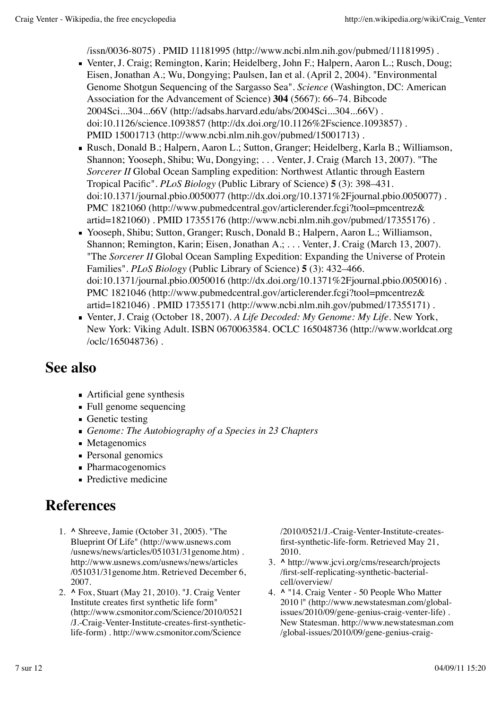/issn/0036-8075) . PMID 11181995 (http://www.ncbi.nlm.nih.gov/pubmed/11181995) .

- Venter, J. Craig; Remington, Karin; Heidelberg, John F.; Halpern, Aaron L.; Rusch, Doug; Eisen, Jonathan A.; Wu, Dongying; Paulsen, Ian et al. (April 2, 2004). "Environmental Genome Shotgun Sequencing of the Sargasso Sea". *Science* (Washington, DC: American Association for the Advancement of Science) **304** (5667): 66–74. Bibcode 2004Sci...304...66V (http://adsabs.harvard.edu/abs/2004Sci...304...66V) . doi:10.1126/science.1093857 (http://dx.doi.org/10.1126%2Fscience.1093857) . PMID 15001713 (http://www.ncbi.nlm.nih.gov/pubmed/15001713) .
- Rusch, Donald B.; Halpern, Aaron L.; Sutton, Granger; Heidelberg, Karla B.; Williamson, Shannon; Yooseph, Shibu; Wu, Dongying; . . . Venter, J. Craig (March 13, 2007). "The *Sorcerer II* Global Ocean Sampling expedition: Northwest Atlantic through Eastern Tropical Pacific". *PLoS Biology* (Public Library of Science) **5** (3): 398–431. doi:10.1371/journal.pbio.0050077 (http://dx.doi.org/10.1371%2Fjournal.pbio.0050077) . PMC 1821060 (http://www.pubmedcentral.gov/articlerender.fcgi?tool=pmcentrez& artid=1821060) . PMID 17355176 (http://www.ncbi.nlm.nih.gov/pubmed/17355176) .
- Yooseph, Shibu; Sutton, Granger; Rusch, Donald B.; Halpern, Aaron L.; Williamson, Shannon; Remington, Karin; Eisen, Jonathan A.; . . . Venter, J. Craig (March 13, 2007). "The *Sorcerer II* Global Ocean Sampling Expedition: Expanding the Universe of Protein Families". *PLoS Biology* (Public Library of Science) **5** (3): 432–466. doi:10.1371/journal.pbio.0050016 (http://dx.doi.org/10.1371%2Fjournal.pbio.0050016) . PMC 1821046 (http://www.pubmedcentral.gov/articlerender.fcgi?tool=pmcentrez& artid=1821046) . PMID 17355171 (http://www.ncbi.nlm.nih.gov/pubmed/17355171) .
- Venter, J. Craig (October 18, 2007). *A Life Decoded: My Genome: My Life*. New York, New York: Viking Adult. ISBN 0670063584. OCLC 165048736 (http://www.worldcat.org /oclc/165048736) .

### **See also**

- Artificial gene synthesis
- Full genome sequencing
- Genetic testing
- *Genome: The Autobiography of a Species in 23 Chapters*
- Metagenomics
- Personal genomics
- Pharmacogenomics
- **Predictive medicine**

### **References**

- **^** Shreeve, Jamie (October 31, 2005). "The 1. Blueprint Of Life" (http://www.usnews.com /usnews/news/articles/051031/31genome.htm) . http://www.usnews.com/usnews/news/articles /051031/31genome.htm. Retrieved December 6, 2007.
- **^** Fox, Stuart (May 21, 2010). "J. Craig Venter 2. Institute creates first synthetic life form" (http://www.csmonitor.com/Science/2010/0521 /J.-Craig-Venter-Institute-creates-first-syntheticlife-form) . http://www.csmonitor.com/Science

/2010/0521/J.-Craig-Venter-Institute-createsfirst-synthetic-life-form. Retrieved May 21, 2010.

- **^** http://www.jcvi.org/cms/research/projects 3. /first-self-replicating-synthetic-bacterialcell/overview/
- **^** "14. Craig Venter 50 People Who Matter 4. 2010 |" (http://www.newstatesman.com/globalissues/2010/09/gene-genius-craig-venter-life) . New Statesman. http://www.newstatesman.com /global-issues/2010/09/gene-genius-craig-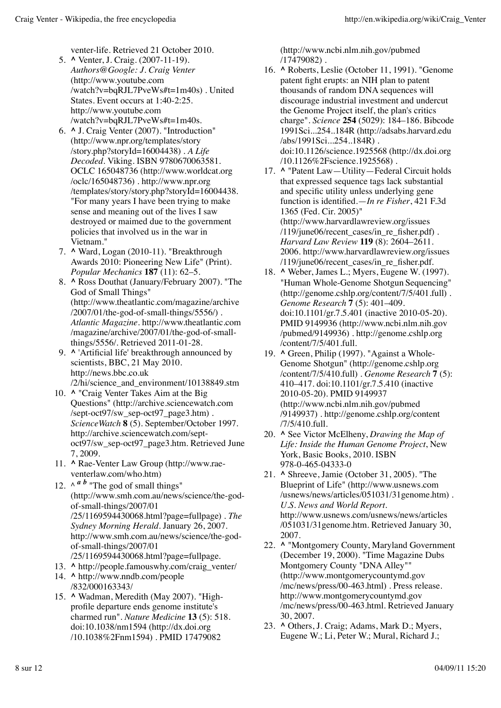venter-life. Retrieved 21 October 2010.

- **^** Venter, J. Craig. (2007-11-19). 5. *Authors@Google: J. Craig Venter* (http://www.youtube.com /watch?v=bqRJL7PveWs#t=1m40s) . United States. Event occurs at 1:40-2:25. http://www.youtube.com /watch?v=bqRJL7PveWs#t=1m40s.
- **^** J. Craig Venter (2007). "Introduction" 6. (http://www.npr.org/templates/story /story.php?storyId=16004438) . *A Life Decoded*. Viking. ISBN 9780670063581. OCLC 165048736 (http://www.worldcat.org /oclc/165048736) . http://www.npr.org /templates/story/story.php?storyId=16004438. "For many years I have been trying to make sense and meaning out of the lives I saw destroyed or maimed due to the government policies that involved us in the war in Vietnam."
- **^** Ward, Logan (2010-11). "Breakthrough 7. Awards 2010: Pioneering New Life" (Print). *Popular Mechanics* **187** (11): 62–5.
- **^** Ross Douthat (January/February 2007). "The 8. God of Small Things" (http://www.theatlantic.com/magazine/archive /2007/01/the-god-of-small-things/5556/) . *Atlantic Magazine*. http://www.theatlantic.com /magazine/archive/2007/01/the-god-of-smallthings/5556/. Retrieved 2011-01-28.
- **^** 'Artificial life' breakthrough announced by 9. scientists, BBC, 21 May 2010. http://news.bbc.co.uk /2/hi/science\_and\_environment/10138849.stm
- 10. **A** "Craig Venter Takes Aim at the Big Questions" (http://archive.sciencewatch.com /sept-oct97/sw\_sep-oct97\_page3.htm) . *ScienceWatch* **8** (5). September/October 1997. http://archive.sciencewatch.com/septoct97/sw\_sep-oct97\_page3.htm. Retrieved June 7, 2009.
- 11. A Rae-Venter Law Group (http://www.raeventerlaw.com/who.htm)
- 12.  $\wedge$   $\wedge$   $\wedge$   $\wedge$  "The god of small things" (http://www.smh.com.au/news/science/the-godof-small-things/2007/01 /25/1169594430068.html?page=fullpage) . *The Sydney Morning Herald*. January 26, 2007. http://www.smh.com.au/news/science/the-godof-small-things/2007/01 /25/1169594430068.html?page=fullpage.
- 13. **^** http://people.famouswhy.com/craig\_venter/
- 14. A http://www.nndb.com/people /832/000163343/
- 15. ^ Wadman, Meredith (May 2007). "Highprofile departure ends genome institute's charmed run". *Nature Medicine* **13** (5): 518. doi:10.1038/nm1594 (http://dx.doi.org /10.1038%2Fnm1594) . PMID 17479082

(http://www.ncbi.nlm.nih.gov/pubmed /17479082) .

- 16. A Roberts, Leslie (October 11, 1991). "Genome patent fight erupts: an NIH plan to patent thousands of random DNA sequences will discourage industrial investment and undercut the Genome Project itself, the plan's critics charge". *Science* **254** (5029): 184–186. Bibcode 1991Sci...254..184R (http://adsabs.harvard.edu /abs/1991Sci...254..184R) . doi:10.1126/science.1925568 (http://dx.doi.org /10.1126%2Fscience.1925568) .
- 17. **A** "Patent Law—Utility—Federal Circuit holds that expressed sequence tags lack substantial and specific utility unless underlying gene function is identified.—*In re Fisher*, 421 F.3d 1365 (Fed. Cir. 2005)" (http://www.harvardlawreview.org/issues /119/june06/recent\_cases/in\_re\_fisher.pdf) . *Harvard Law Review* **119** (8): 2604–2611. 2006. http://www.harvardlawreview.org/issues /119/june06/recent\_cases/in\_re\_fisher.pdf.
- 18. ^ Weber, James L.; Myers, Eugene W. (1997). "Human Whole-Genome Shotgun Sequencing" (http://genome.cshlp.org/content/7/5/401.full) . *Genome Research* **7** (5): 401–409. doi:10.1101/gr.7.5.401 (inactive 2010-05-20). PMID 9149936 (http://www.ncbi.nlm.nih.gov /pubmed/9149936) . http://genome.cshlp.org /content/7/5/401.full.
- 19. ^ Green, Philip (1997). "Against a Whole-Genome Shotgun" (http://genome.cshlp.org /content/7/5/410.full) . *Genome Research* **7** (5): 410–417. doi:10.1101/gr.7.5.410 (inactive 2010-05-20). PMID 9149937 (http://www.ncbi.nlm.nih.gov/pubmed /9149937) . http://genome.cshlp.org/content /7/5/410.full.
- **^** See Victor McElheny, *Drawing the Map of* 20. *Life: Inside the Human Genome Project*, New York, Basic Books, 2010. ISBN 978-0-465-04333-0
- **^** Shreeve, Jamie (October 31, 2005). "The 21. Blueprint of Life" (http://www.usnews.com /usnews/news/articles/051031/31genome.htm) . *U.S. News and World Report*. http://www.usnews.com/usnews/news/articles /051031/31genome.htm. Retrieved January 30, 2007.
- **^** "Montgomery County, Maryland Government 22. (December 19, 2000). "Time Magazine Dubs Montgomery County "DNA Alley"" (http://www.montgomerycountymd.gov /mc/news/press/00-463.html) . Press release. http://www.montgomerycountymd.gov /mc/news/press/00-463.html. Retrieved January 30, 2007.
- **^** Others, J. Craig; Adams, Mark D.; Myers, 23. Eugene W.; Li, Peter W.; Mural, Richard J.;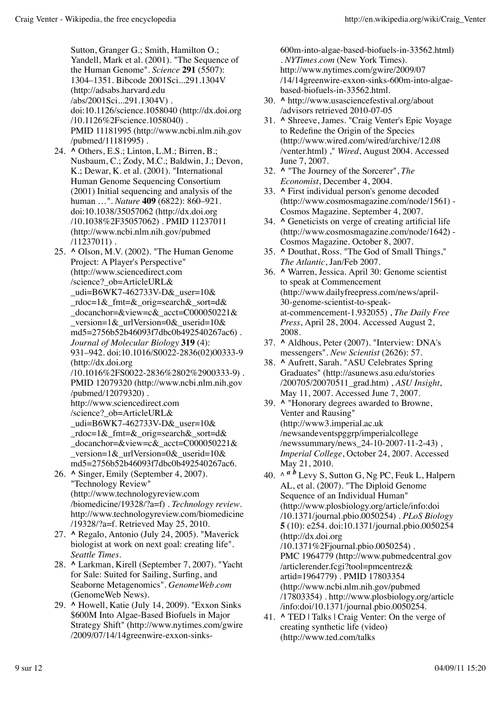Sutton, Granger G.; Smith, Hamilton O.; Yandell, Mark et al. (2001). "The Sequence of the Human Genome". *Science* **291** (5507): 1304–1351. Bibcode 2001Sci...291.1304V (http://adsabs.harvard.edu /abs/2001Sci...291.1304V) . doi:10.1126/science.1058040 (http://dx.doi.org /10.1126%2Fscience.1058040) . PMID 11181995 (http://www.ncbi.nlm.nih.gov /pubmed/11181995) .

- **^** Others, E.S.; Linton, L.M.; Birren, B.; 24. Nusbaum, C.; Zody, M.C.; Baldwin, J.; Devon, K.; Dewar, K. et al. (2001). "International Human Genome Sequencing Consortium (2001) Initial sequencing and analysis of the human …". *Nature* **409** (6822): 860–921. doi:10.1038/35057062 (http://dx.doi.org /10.1038%2F35057062) . PMID 11237011 (http://www.ncbi.nlm.nih.gov/pubmed /11237011) .
- **^** Olson, M.V. (2002). "The Human Genome 25. Project: A Player's Perspective" (http://www.sciencedirect.com /science?\_ob=ArticleURL& udi=B6WK7-462733V-D& user= $10\&$ \_rdoc=1&\_fmt=&\_orig=search&\_sort=d& \_docanchor=&view=c&\_acct=C000050221& \_version=1&\_urlVersion=0&\_userid=10& md5=2756b52b46093f7dbc0b492540267ac6) . *Journal of Molecular Biology* **319** (4): 931–942. doi:10.1016/S0022-2836(02)00333-9 (http://dx.doi.org /10.1016%2FS0022-2836%2802%2900333-9) . PMID 12079320 (http://www.ncbi.nlm.nih.gov /pubmed/12079320) . http://www.sciencedirect.com /science?\_ob=ArticleURL& \_udi=B6WK7-462733V-D&\_user=10& \_rdoc=1&\_fmt=&\_orig=search&\_sort=d& \_docanchor=&view=c&\_acct=C000050221& \_version=1&\_urlVersion=0&\_userid=10& md5=2756b52b46093f7dbc0b492540267ac6. **^** Singer, Emily (September 4, 2007). 26.
- "Technology Review" (http://www.technologyreview.com /biomedicine/19328/?a=f) . *Technology review*. http://www.technologyreview.com/biomedicine /19328/?a=f. Retrieved May 25, 2010.
- 27. ^ Regalo, Antonio (July 24, 2005). "Maverick biologist at work on next goal: creating life". *Seattle Times*.
- 28. ^ Larkman, Kirell (September 7, 2007). "Yacht for Sale: Suited for Sailing, Surfing, and Seaborne Metagenomics". *GenomeWeb.com* (GenomeWeb News).
- **^** Howell, Katie (July 14, 2009). "Exxon Sinks 29. \$600M Into Algae-Based Biofuels in Major Strategy Shift" (http://www.nytimes.com/gwire /2009/07/14/14greenwire-exxon-sinks-

600m-into-algae-based-biofuels-in-33562.html) . *NYTimes.com* (New York Times). http://www.nytimes.com/gwire/2009/07 /14/14greenwire-exxon-sinks-600m-into-algaebased-biofuels-in-33562.html.

- **^** http://www.usasciencefestival.org/about 30. /advisors retrieved 2010-07-05
- **^** Shreeve, James. "Craig Venter's Epic Voyage 31. to Redefine the Origin of the Species (http://www.wired.com/wired/archive/12.08 /venter.html) ," *Wired*, August 2004. Accessed June 7, 2007.
- **^** "The Journey of the Sorcerer", *The* 32. *Economist*, December 4, 2004.
- **^** First individual person's genome decoded 33. (http://www.cosmosmagazine.com/node/1561) - Cosmos Magazine. September 4, 2007.
- **^** Geneticists on verge of creating artificial life 34. (http://www.cosmosmagazine.com/node/1642) - Cosmos Magazine. October 8, 2007.
- **^** Douthat, Ross. "The God of Small Things," 35. *The Atlantic*, Jan/Feb 2007.
- **^** Warren, Jessica. April 30: Genome scientist 36. to speak at Commencement (http://www.dailyfreepress.com/news/april-30-genome-scientist-to-speakat-commencement-1.932055) , *The Daily Free Press*, April 28, 2004. Accessed August 2, 2008.
- **^** Aldhous, Peter (2007). "Interview: DNA's 37. messengers". *New Scientist* (2626): 57.
- **^** Aufrett, Sarah. "ASU Celebrates Spring 38. Graduates" (http://asunews.asu.edu/stories /200705/20070511\_grad.htm) , *ASU Insight*, May 11, 2007. Accessed June 7, 2007.
- **^** "Honorary degrees awarded to Browne, 39. Venter and Rausing" (http://www3.imperial.ac.uk /newsandeventspggrp/imperialcollege /newssummary/news\_24-10-2007-11-2-43) , *Imperial College*, October 24, 2007. Accessed May 21, 2010.
- 40. ^  $\frac{a}{b}$  Levy S, Sutton G, Ng PC, Feuk L, Halpern AL, et al. (2007). "The Diploid Genome Sequence of an Individual Human" (http://www.plosbiology.org/article/info:doi /10.1371/journal.pbio.0050254) . *PLoS Biology* **5** (10): e254. doi:10.1371/journal.pbio.0050254 (http://dx.doi.org /10.1371%2Fjournal.pbio.0050254) . PMC 1964779 (http://www.pubmedcentral.gov /articlerender.fcgi?tool=pmcentrez& artid=1964779) . PMID 17803354 (http://www.ncbi.nlm.nih.gov/pubmed /17803354) . http://www.plosbiology.org/article /info:doi/10.1371/journal.pbio.0050254.
- 41. **^** TED | Talks | Craig Venter: On the verge of creating synthetic life (video) (http://www.ted.com/talks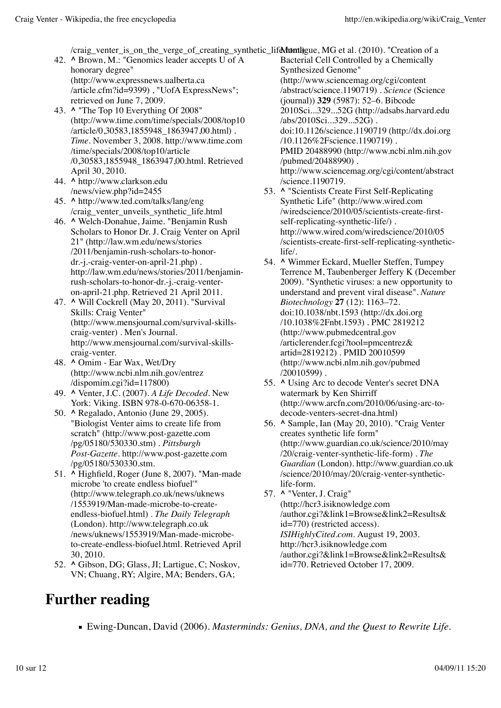/craig\_venter\_is\_on\_the\_verge\_of\_creating\_synthetic\_life\/totathtml)gue, MG et al. (2010). "Creation of a

- **^** Brown, M.: "Genomics leader accepts U of A 42. honorary degree" (http://www.expressnews.ualberta.ca /article.cfm?id=9399), "UofA ExpressNews"; retrieved on June 7, 2009.
- **^** "The Top 10 Everything Of 2008" 43. (http://www.time.com/time/specials/2008/top10 /article/0,30583,1855948\_1863947,00.html) . *Time*. November 3, 2008. http://www.time.com /time/specials/2008/top10/article /0,30583,1855948\_1863947,00.html. Retrieved April 30, 2010.
- **^** http://www.clarkson.edu 44. /news/view.php?id=2455
- **^** http://www.ted.com/talks/lang/eng 45. /craig\_venter\_unveils\_synthetic\_life.html
- **^** Welch-Donahue, Jaime. "Benjamin Rush 46. Scholars to Honor Dr. J. Craig Venter on April 21" (http://law.wm.edu/news/stories /2011/benjamin-rush-scholars-to-honordr.-j.-craig-venter-on-april-21.php) . http://law.wm.edu/news/stories/2011/benjaminrush-scholars-to-honor-dr.-j.-craig-venteron-april-21.php. Retrieved 21 April 2011.
- **^** Will Cockrell (May 20, 2011). "Survival 47. Skills: Craig Venter" (http://www.mensjournal.com/survival-skillscraig-venter) . Men's Journal. http://www.mensjournal.com/survival-skillscraig-venter.
- **^** Omim Ear Wax, Wet/Dry 48. (http://www.ncbi.nlm.nih.gov/entrez /dispomim.cgi?id=117800)
- **^** Venter, J.C. (2007). *A Life Decoded*. New 49. York: Viking. ISBN 978-0-670-06358-1.
- 50. **^** Regalado, Antonio (June 29, 2005). "Biologist Venter aims to create life from scratch" (http://www.post-gazette.com /pg/05180/530330.stm) . *Pittsburgh Post-Gazette*. http://www.post-gazette.com /pg/05180/530330.stm.
- **^** Highfield, Roger (June 8, 2007). "Man-made 51. microbe 'to create endless biofuel'" (http://www.telegraph.co.uk/news/uknews /1553919/Man-made-microbe-to-createendless-biofuel.html) . *The Daily Telegraph* (London). http://www.telegraph.co.uk /news/uknews/1553919/Man-made-microbeto-create-endless-biofuel.html. Retrieved April 30, 2010.
- 52. ^ Gibson, DG; Glass, JI; Lartigue, C; Noskov, VN; Chuang, RY; Algire, MA; Benders, GA;

**Further reading**

Bacterial Cell Controlled by a Chemically Synthesized Genome" (http://www.sciencemag.org/cgi/content /abstract/science.1190719) . *Science* (Science (journal)) **329** (5987): 52–6. Bibcode 2010Sci...329...52G (http://adsabs.harvard.edu /abs/2010Sci...329...52G) . doi:10.1126/science.1190719 (http://dx.doi.org /10.1126%2Fscience.1190719) . PMID 20488990 (http://www.ncbi.nlm.nih.gov /pubmed/20488990) . http://www.sciencemag.org/cgi/content/abstract /science.1190719.

- 53. A "Scientists Create First Self-Replicating Synthetic Life" (http://www.wired.com /wiredscience/2010/05/scientists-create-firstself-replicating-synthetic-life/) . http://www.wired.com/wiredscience/2010/05 /scientists-create-first-self-replicating-syntheticlife/.
- **^** Wimmer Eckard, Mueller Steffen, Tumpey 54. Terrence M, Taubenberger Jeffery K (December 2009). "Synthetic viruses: a new opportunity to understand and prevent viral disease". *Nature Biotechnology* **27** (12): 1163–72. doi:10.1038/nbt.1593 (http://dx.doi.org /10.1038%2Fnbt.1593) . PMC 2819212 (http://www.pubmedcentral.gov /articlerender.fcgi?tool=pmcentrez& artid=2819212) . PMID 20010599 (http://www.ncbi.nlm.nih.gov/pubmed /20010599) .
- **^** Using Arc to decode Venter's secret DNA 55. watermark by Ken Shirriff (http://www.arcfn.com/2010/06/using-arc-todecode-venters-secret-dna.html)
- **^** Sample, Ian (May 20, 2010). "Craig Venter 56. creates synthetic life form" (http://www.guardian.co.uk/science/2010/may /20/craig-venter-synthetic-life-form) . *The Guardian* (London). http://www.guardian.co.uk /science/2010/may/20/craig-venter-syntheticlife-form.
- **^** "Venter, J. Craig" 57. (http://hcr3.isiknowledge.com /author.cgi?&link1=Browse&link2=Results& id=770) (restricted access). *ISIHighlyCited.com*. August 19, 2003. http://hcr3.isiknowledge.com /author.cgi?&link1=Browse&link2=Results& id=770. Retrieved October 17, 2009.

Ewing-Duncan, David (2006). *Masterminds: Genius, DNA, and the Quest to Rewrite Life*.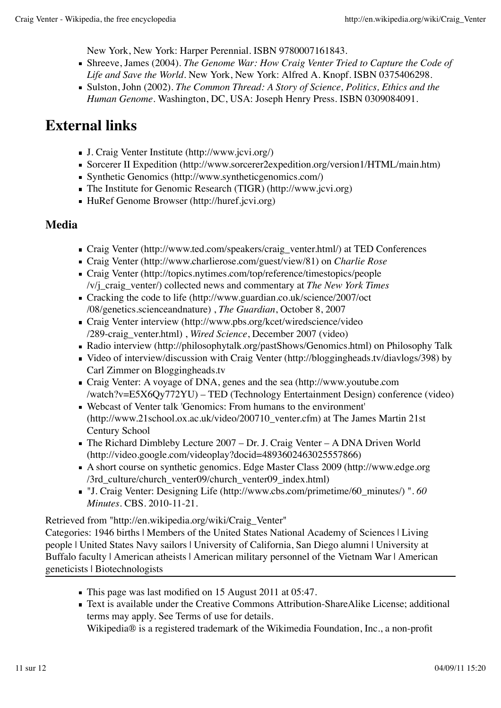New York, New York: Harper Perennial. ISBN 9780007161843.

- Shreeve, James (2004). *The Genome War: How Craig Venter Tried to Capture the Code of Life and Save the World*. New York, New York: Alfred A. Knopf. ISBN 0375406298.
- Sulston, John (2002). *The Common Thread: A Story of Science, Politics, Ethics and the Human Genome*. Washington, DC, USA: Joseph Henry Press. ISBN 0309084091.

### **External links**

- J. Craig Venter Institute (http://www.jcvi.org/)
- Sorcerer II Expedition (http://www.sorcerer2expedition.org/version1/HTML/main.htm)
- Synthetic Genomics (http://www.syntheticgenomics.com/)
- The Institute for Genomic Research (TIGR) (http://www.jcvi.org)
- HuRef Genome Browser (http://huref.jcvi.org)

#### **Media**

- Craig Venter (http://www.ted.com/speakers/craig\_venter.html/) at TED Conferences
- Craig Venter (http://www.charlierose.com/guest/view/81) on *Charlie Rose*
- Craig Venter (http://topics.nytimes.com/top/reference/timestopics/people /v/j\_craig\_venter/) collected news and commentary at *The New York Times*
- Cracking the code to life (http://www.guardian.co.uk/science/2007/oct /08/genetics.scienceandnature) , *The Guardian*, October 8, 2007
- Craig Venter interview (http://www.pbs.org/kcet/wiredscience/video /289-craig\_venter.html) , *Wired Science*, December 2007 (video)
- Radio interview (http://philosophytalk.org/pastShows/Genomics.html) on Philosophy Talk
- Video of interview/discussion with Craig Venter (http://bloggingheads.tv/diavlogs/398) by Carl Zimmer on Bloggingheads.tv
- Craig Venter: A voyage of DNA, genes and the sea (http://www.youtube.com /watch?v=E5X6Qy772YU) – TED (Technology Entertainment Design) conference (video)
- Webcast of Venter talk 'Genomics: From humans to the environment' (http://www.21school.ox.ac.uk/video/200710\_venter.cfm) at The James Martin 21st Century School
- The Richard Dimbleby Lecture 2007 Dr. J. Craig Venter A DNA Driven World (http://video.google.com/videoplay?docid=4893602463025557866)
- A short course on synthetic genomics. Edge Master Class 2009 (http://www.edge.org /3rd\_culture/church\_venter09/church\_venter09\_index.html)
- "J. Craig Venter: Designing Life (http://www.cbs.com/primetime/60\_minutes/) ". *60 Minutes*. CBS. 2010-11-21.

Retrieved from "http://en.wikipedia.org/wiki/Craig\_Venter"

Categories: 1946 births | Members of the United States National Academy of Sciences | Living people | United States Navy sailors | University of California, San Diego alumni | University at Buffalo faculty | American atheists | American military personnel of the Vietnam War | American geneticists | Biotechnologists

- This page was last modified on 15 August 2011 at 05:47.
- Text is available under the Creative Commons Attribution-ShareAlike License; additional terms may apply. See Terms of use for details.

Wikipedia® is a registered trademark of the Wikimedia Foundation, Inc., a non-profit